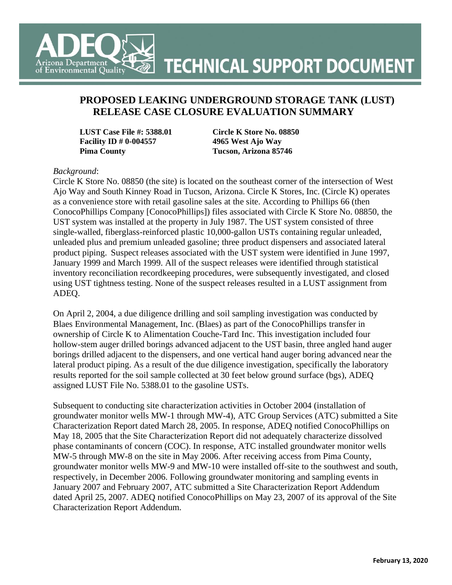

### **PROPOSED LEAKING UNDERGROUND STORAGE TANK (LUST) RELEASE CASE CLOSURE EVALUATION SUMMARY**

**LUST Case File #: 5388.01 Circle K Store No. 08850 Facility ID # 0-004557 4965 West Ajo Way Pima County Tucson, Arizona 85746** 

#### *Background*:

Circle K Store No. 08850 (the site) is located on the southeast corner of the intersection of West Ajo Way and South Kinney Road in Tucson, Arizona. Circle K Stores, Inc. (Circle K) operates as a convenience store with retail gasoline sales at the site. According to Phillips 66 (then ConocoPhillips Company [ConocoPhillips]) files associated with Circle K Store No. 08850, the UST system was installed at the property in July 1987. The UST system consisted of three single-walled, fiberglass-reinforced plastic 10,000-gallon USTs containing regular unleaded, unleaded plus and premium unleaded gasoline; three product dispensers and associated lateral product piping. Suspect releases associated with the UST system were identified in June 1997, January 1999 and March 1999. All of the suspect releases were identified through statistical inventory reconciliation recordkeeping procedures, were subsequently investigated, and closed using UST tightness testing. None of the suspect releases resulted in a LUST assignment from ADEQ.

On April 2, 2004, a due diligence drilling and soil sampling investigation was conducted by Blaes Environmental Management, Inc. (Blaes) as part of the ConocoPhillips transfer in ownership of Circle K to Alimentation Couche-Tard Inc. This investigation included four hollow-stem auger drilled borings advanced adjacent to the UST basin, three angled hand auger borings drilled adjacent to the dispensers, and one vertical hand auger boring advanced near the lateral product piping. As a result of the due diligence investigation, specifically the laboratory results reported for the soil sample collected at 30 feet below ground surface (bgs), ADEQ assigned LUST File No. 5388.01 to the gasoline USTs.

Subsequent to conducting site characterization activities in October 2004 (installation of groundwater monitor wells MW-1 through MW-4), ATC Group Services (ATC) submitted a Site Characterization Report dated March 28, 2005. In response, ADEQ notified ConocoPhillips on May 18, 2005 that the Site Characterization Report did not adequately characterize dissolved phase contaminants of concern (COC). In response, ATC installed groundwater monitor wells MW-5 through MW-8 on the site in May 2006. After receiving access from Pima County, groundwater monitor wells MW-9 and MW-10 were installed off-site to the southwest and south, respectively, in December 2006. Following groundwater monitoring and sampling events in January 2007 and February 2007, ATC submitted a Site Characterization Report Addendum dated April 25, 2007. ADEQ notified ConocoPhillips on May 23, 2007 of its approval of the Site Characterization Report Addendum.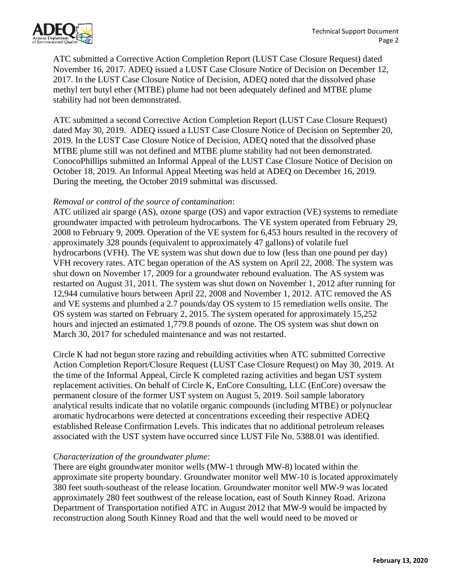

ATC submitted a Corrective Action Completion Report (LUST Case Closure Request) dated November 16, 2017. ADEQ issued a LUST Case Closure Notice of Decision on December 12, 2017. In the LUST Case Closure Notice of Decision, ADEQ noted that the dissolved phase methyl tert butyl ether (MTBE) plume had not been adequately defined and MTBE plume stability had not been demonstrated.

ATC submitted a second Corrective Action Completion Report (LUST Case Closure Request) dated May 30, 2019. ADEQ issued a LUST Case Closure Notice of Decision on September 20, 2019. In the LUST Case Closure Notice of Decision, ADEQ noted that the dissolved phase MTBE plume still was not defined and MTBE plume stability had not been demonstrated. ConocoPhillips submitted an Informal Appeal of the LUST Case Closure Notice of Decision on October 18, 2019. An Informal Appeal Meeting was held at ADEQ on December 16, 2019. During the meeting, the October 2019 submittal was discussed.

### *Removal or control of the source of contamination*:

ATC utilized air sparge (AS), ozone sparge (OS) and vapor extraction (VE) systems to remediate groundwater impacted with petroleum hydrocarbons. The VE system operated from February 29, 2008 to February 9, 2009. Operation of the VE system for 6,453 hours resulted in the recovery of approximately 328 pounds (equivalent to approximately 47 gallons) of volatile fuel hydrocarbons (VFH). The VE system was shut down due to low (less than one pound per day) VFH recovery rates. ATC began operation of the AS system on April 22, 2008. The system was shut down on November 17, 2009 for a groundwater rebound evaluation. The AS system was restarted on August 31, 2011. The system was shut down on November 1, 2012 after running for 12,944 cumulative hours between April 22, 2008 and November 1, 2012. ATC removed the AS and VE systems and plumbed a 2.7 pounds/day OS system to 15 remediation wells onsite. The OS system was started on February 2, 2015. The system operated for approximately 15,252 hours and injected an estimated 1,779.8 pounds of ozone. The OS system was shut down on March 30, 2017 for scheduled maintenance and was not restarted.

Circle K had not begun store razing and rebuilding activities when ATC submitted Corrective Action Completion Report/Closure Request (LUST Case Closure Request) on May 30, 2019. At the time of the Informal Appeal, Circle K completed razing activities and began UST system replacement activities. On behalf of Circle K, EnCore Consulting, LLC (EnCore) oversaw the permanent closure of the former UST system on August 5, 2019. Soil sample laboratory analytical results indicate that no volatile organic compounds (including MTBE) or polynuclear aromatic hydrocarbons were detected at concentrations exceeding their respective ADEQ established Release Confirmation Levels. This indicates that no additional petroleum releases associated with the UST system have occurred since LUST File No. 5388.01 was identified.

#### *Characterization of the groundwater plume:*

There are eight groundwater monitor wells (MW-1 through MW-8) located within the approximate site property boundary. Groundwater monitor well MW-10 is located approximately 380 feet south-southeast of the release location. Groundwater monitor well MW-9 was located approximately 280 feet southwest of the release location, east of South Kinney Road. Arizona Department of Transportation notified ATC in August 2012 that MW-9 would be impacted by reconstruction along South Kinney Road and that the well would need to be moved or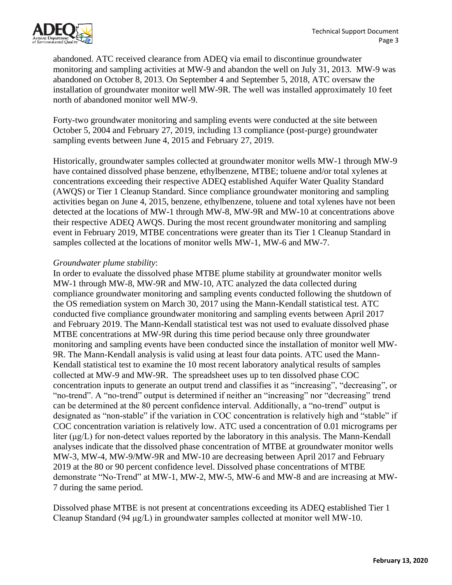

abandoned. ATC received clearance from ADEQ via email to discontinue groundwater monitoring and sampling activities at MW-9 and abandon the well on July 31, 2013. MW-9 was abandoned on October 8, 2013. On September 4 and September 5, 2018, ATC oversaw the installation of groundwater monitor well MW-9R. The well was installed approximately 10 feet north of abandoned monitor well MW-9.

Forty-two groundwater monitoring and sampling events were conducted at the site between October 5, 2004 and February 27, 2019, including 13 compliance (post-purge) groundwater sampling events between June 4, 2015 and February 27, 2019.

Historically, groundwater samples collected at groundwater monitor wells MW-1 through MW-9 have contained dissolved phase benzene, ethylbenzene, MTBE; toluene and/or total xylenes at concentrations exceeding their respective ADEQ established Aquifer Water Quality Standard (AWQS) or Tier 1 Cleanup Standard. Since compliance groundwater monitoring and sampling activities began on June 4, 2015, benzene, ethylbenzene, toluene and total xylenes have not been detected at the locations of MW-1 through MW-8, MW-9R and MW-10 at concentrations above their respective ADEQ AWQS. During the most recent groundwater monitoring and sampling event in February 2019, MTBE concentrations were greater than its Tier 1 Cleanup Standard in samples collected at the locations of monitor wells MW-1, MW-6 and MW-7.

#### *Groundwater plume stability*:

In order to evaluate the dissolved phase MTBE plume stability at groundwater monitor wells MW-1 through MW-8, MW-9R and MW-10, ATC analyzed the data collected during compliance groundwater monitoring and sampling events conducted following the shutdown of the OS remediation system on March 30, 2017 using the Mann-Kendall statistical test. ATC conducted five compliance groundwater monitoring and sampling events between April 2017 and February 2019. The Mann-Kendall statistical test was not used to evaluate dissolved phase MTBE concentrations at MW-9R during this time period because only three groundwater monitoring and sampling events have been conducted since the installation of monitor well MW-9R. The Mann-Kendall analysis is valid using at least four data points. ATC used the Mann-Kendall statistical test to examine the 10 most recent laboratory analytical results of samples collected at MW-9 and MW-9R. The spreadsheet uses up to ten dissolved phase COC concentration inputs to generate an output trend and classifies it as "increasing", "decreasing", or "no-trend". A "no-trend" output is determined if neither an "increasing" nor "decreasing" trend can be determined at the 80 percent confidence interval. Additionally, a "no-trend" output is designated as "non-stable" if the variation in COC concentration is relatively high and "stable" if COC concentration variation is relatively low. ATC used a concentration of 0.01 micrograms per liter (μg/L) for non-detect values reported by the laboratory in this analysis. The Mann-Kendall analyses indicate that the dissolved phase concentration of MTBE at groundwater monitor wells MW-3, MW-4, MW-9/MW-9R and MW-10 are decreasing between April 2017 and February 2019 at the 80 or 90 percent confidence level. Dissolved phase concentrations of MTBE demonstrate "No-Trend" at MW-1, MW-2, MW-5, MW-6 and MW-8 and are increasing at MW-7 during the same period.

Dissolved phase MTBE is not present at concentrations exceeding its ADEQ established Tier 1 Cleanup Standard (94 μg/L) in groundwater samples collected at monitor well MW-10.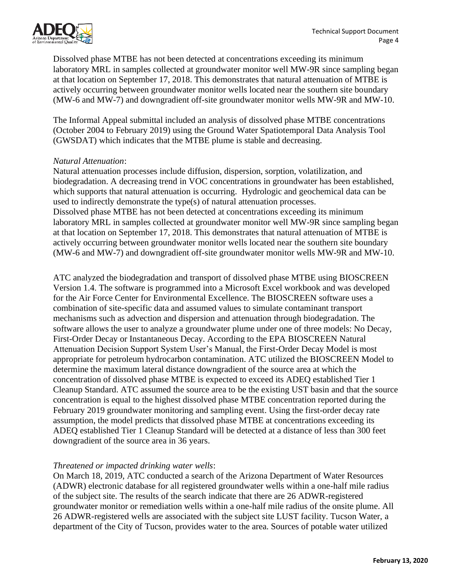

Dissolved phase MTBE has not been detected at concentrations exceeding its minimum laboratory MRL in samples collected at groundwater monitor well MW-9R since sampling began at that location on September 17, 2018. This demonstrates that natural attenuation of MTBE is actively occurring between groundwater monitor wells located near the southern site boundary (MW-6 and MW-7) and downgradient off-site groundwater monitor wells MW-9R and MW-10.

The Informal Appeal submittal included an analysis of dissolved phase MTBE concentrations (October 2004 to February 2019) using the Ground Water Spatiotemporal Data Analysis Tool (GWSDAT) which indicates that the MTBE plume is stable and decreasing.

#### *Natural Attenuation*:

Natural attenuation processes include diffusion, dispersion, sorption, volatilization, and biodegradation. A decreasing trend in VOC concentrations in groundwater has been established, which supports that natural attenuation is occurring. Hydrologic and geochemical data can be used to indirectly demonstrate the type(s) of natural attenuation processes. Dissolved phase MTBE has not been detected at concentrations exceeding its minimum laboratory MRL in samples collected at groundwater monitor well MW-9R since sampling began at that location on September 17, 2018. This demonstrates that natural attenuation of MTBE is actively occurring between groundwater monitor wells located near the southern site boundary (MW-6 and MW-7) and downgradient off-site groundwater monitor wells MW-9R and MW-10.

ATC analyzed the biodegradation and transport of dissolved phase MTBE using BIOSCREEN Version 1.4. The software is programmed into a Microsoft Excel workbook and was developed for the Air Force Center for Environmental Excellence. The BIOSCREEN software uses a combination of site-specific data and assumed values to simulate contaminant transport mechanisms such as advection and dispersion and attenuation through biodegradation. The software allows the user to analyze a groundwater plume under one of three models: No Decay, First-Order Decay or Instantaneous Decay. According to the EPA BIOSCREEN Natural Attenuation Decision Support System User's Manual, the First-Order Decay Model is most appropriate for petroleum hydrocarbon contamination. ATC utilized the BIOSCREEN Model to determine the maximum lateral distance downgradient of the source area at which the concentration of dissolved phase MTBE is expected to exceed its ADEQ established Tier 1 Cleanup Standard. ATC assumed the source area to be the existing UST basin and that the source concentration is equal to the highest dissolved phase MTBE concentration reported during the February 2019 groundwater monitoring and sampling event. Using the first-order decay rate assumption, the model predicts that dissolved phase MTBE at concentrations exceeding its ADEQ established Tier 1 Cleanup Standard will be detected at a distance of less than 300 feet downgradient of the source area in 36 years.

### *Threatened or impacted drinking water wells*:

On March 18, 2019, ATC conducted a search of the Arizona Department of Water Resources (ADWR) electronic database for all registered groundwater wells within a one-half mile radius of the subject site. The results of the search indicate that there are 26 ADWR-registered groundwater monitor or remediation wells within a one-half mile radius of the onsite plume. All 26 ADWR-registered wells are associated with the subject site LUST facility. Tucson Water, a department of the City of Tucson, provides water to the area. Sources of potable water utilized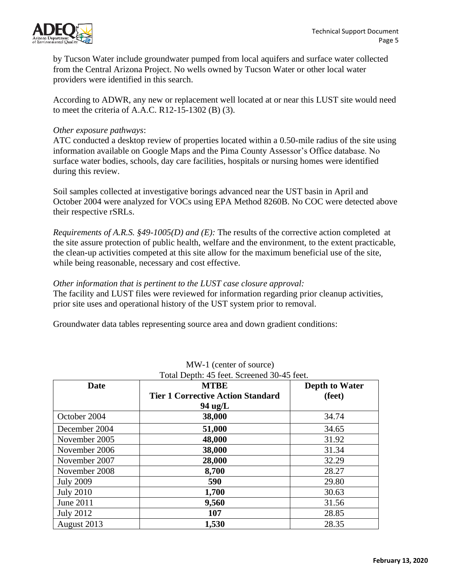

by Tucson Water include groundwater pumped from local aquifers and surface water collected from the Central Arizona Project. No wells owned by Tucson Water or other local water providers were identified in this search.

According to ADWR, any new or replacement well located at or near this LUST site would need to meet the criteria of A.A.C. R12-15-1302 (B) (3).

#### *Other exposure pathways*:

ATC conducted a desktop review of properties located within a 0.50-mile radius of the site using information available on Google Maps and the Pima County Assessor's Office database. No surface water bodies, schools, day care facilities, hospitals or nursing homes were identified during this review.

Soil samples collected at investigative borings advanced near the UST basin in April and October 2004 were analyzed for VOCs using EPA Method 8260B. No COC were detected above their respective rSRLs.

*Requirements of A.R.S. §49-1005(D) and (E):* The results of the corrective action completed at the site assure protection of public health, welfare and the environment, to the extent practicable, the clean-up activities competed at this site allow for the maximum beneficial use of the site, while being reasonable, necessary and cost effective.

#### *Other information that is pertinent to the LUST case closure approval:*

The facility and LUST files were reviewed for information regarding prior cleanup activities, prior site uses and operational history of the UST system prior to removal.

Groundwater data tables representing source area and down gradient conditions:

| Total Depth: 45 feet. Screened 30-45 feet. |                                          |                       |
|--------------------------------------------|------------------------------------------|-----------------------|
| <b>MTBE</b><br>Date                        |                                          | <b>Depth to Water</b> |
|                                            | <b>Tier 1 Corrective Action Standard</b> | (feet)                |
|                                            | $94 \text{ ug/L}$                        |                       |
| October 2004                               | 38,000                                   | 34.74                 |
| December 2004                              | 51,000                                   | 34.65                 |
| November 2005                              | 48,000                                   | 31.92                 |
| November 2006                              | 38,000                                   | 31.34                 |
| November 2007                              | 28,000                                   | 32.29                 |
| November 2008                              | 8,700                                    | 28.27                 |
| <b>July 2009</b>                           | 590                                      | 29.80                 |
| <b>July 2010</b>                           | 1,700                                    | 30.63                 |
| June 2011                                  | 9,560                                    | 31.56                 |
| <b>July 2012</b>                           | 107                                      | 28.85                 |
| August 2013                                | 1,530                                    | 28.35                 |

## MW-1 (center of source)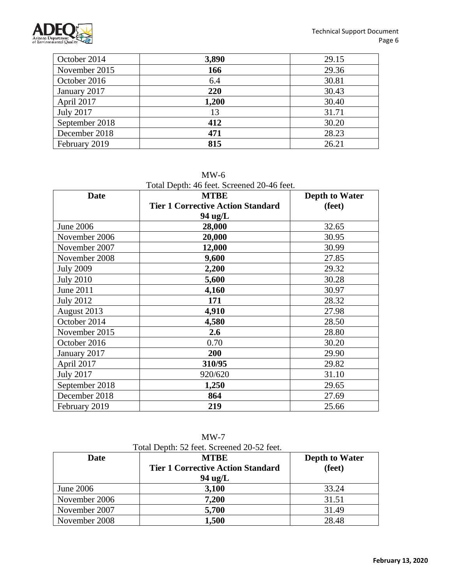

| October 2014     | 3,890 | 29.15 |
|------------------|-------|-------|
| November 2015    | 166   | 29.36 |
| October 2016     | 6.4   | 30.81 |
| January 2017     | 220   | 30.43 |
| April 2017       | 1,200 | 30.40 |
| <b>July 2017</b> | 13    | 31.71 |
| September 2018   | 412   | 30.20 |
| December 2018    | 471   | 28.23 |
| February 2019    | 815   | 26.21 |

Total Depth: 46 feet. Screened 20-46 feet.

| <b>Date</b>      | <b>MTBE</b>                              | <b>Depth to Water</b> |
|------------------|------------------------------------------|-----------------------|
|                  | <b>Tier 1 Corrective Action Standard</b> | (feet)                |
|                  | 94 ug/L                                  |                       |
| <b>June 2006</b> | 28,000                                   | 32.65                 |
| November 2006    | 20,000                                   | 30.95                 |
| November 2007    | 12,000                                   | 30.99                 |
| November 2008    | 9,600                                    | 27.85                 |
| <b>July 2009</b> | 2,200                                    | 29.32                 |
| <b>July 2010</b> | 5,600                                    | 30.28                 |
| June 2011        | 4,160                                    | 30.97                 |
| <b>July 2012</b> | 171                                      | 28.32                 |
| August 2013      | 4,910                                    | 27.98                 |
| October 2014     | 4,580                                    | 28.50                 |
| November 2015    | 2.6                                      | 28.80                 |
| October 2016     | 0.70                                     | 30.20                 |
| January 2017     | 200                                      | 29.90                 |
| April 2017       | 310/95                                   | 29.82                 |
| <b>July 2017</b> | 920/620                                  | 31.10                 |
| September 2018   | 1,250                                    | 29.65                 |
| December 2018    | 864                                      | 27.69                 |
| February 2019    | 219                                      | 25.66                 |

MW-7 Total Depth: 52 feet. Screened 20-52 feet.

| <b>Date</b>   | <b>MTBE</b>                              | <b>Depth to Water</b> |
|---------------|------------------------------------------|-----------------------|
|               | <b>Tier 1 Corrective Action Standard</b> | (feet)                |
|               | $94 \text{ ug/L}$                        |                       |
| June 2006     | 3,100                                    | 33.24                 |
| November 2006 | 7,200                                    | 31.51                 |
| November 2007 | 5,700                                    | 31.49                 |
| November 2008 | 1,500                                    | 28.48                 |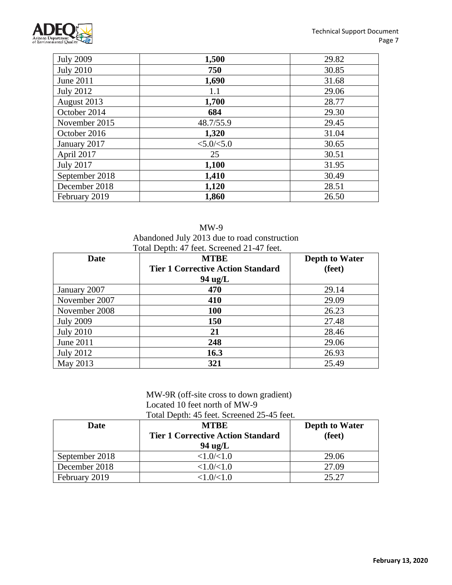

| <b>July 2009</b> | 1,500         | 29.82 |
|------------------|---------------|-------|
| <b>July 2010</b> | 750           | 30.85 |
| June 2011        | 1,690         | 31.68 |
| <b>July 2012</b> | 1.1           | 29.06 |
| August 2013      | 1,700         | 28.77 |
| October 2014     | 684           | 29.30 |
| November 2015    | 48.7/55.9     | 29.45 |
| October 2016     | 1,320         | 31.04 |
| January 2017     | < 5.0 / < 5.0 | 30.65 |
| April 2017       | 25            | 30.51 |
| <b>July 2017</b> | 1,100         | 31.95 |
| September 2018   | 1,410         | 30.49 |
| December 2018    | 1,120         | 28.51 |
| February 2019    | 1,860         | 26.50 |

| $MW-9$                                       |
|----------------------------------------------|
| Abandoned July 2013 due to road construction |
| Total Depth: 47 feet, Screened 21-47 feet    |

| Date             | <b>MTBE</b>                              | <b>Depth to Water</b> |
|------------------|------------------------------------------|-----------------------|
|                  | <b>Tier 1 Corrective Action Standard</b> | (feet)                |
|                  | 94 ug/L                                  |                       |
| January 2007     | 470                                      | 29.14                 |
| November 2007    | 410                                      | 29.09                 |
| November 2008    | <b>100</b>                               | 26.23                 |
| <b>July 2009</b> | 150                                      | 27.48                 |
| <b>July 2010</b> | 21                                       | 28.46                 |
| June 2011        | 248                                      | 29.06                 |
| <b>July 2012</b> | 16.3                                     | 26.93                 |
| May 2013         | 321                                      | 25.49                 |

#### MW-9R (off-site cross to down gradient) Located 10 feet north of MW-9 Total Depth: 45 feet. Screened 25-45 feet.

| <b>Date</b>    | <b>MTRE</b><br><b>Tier 1 Corrective Action Standard</b><br>$94 \text{ ug/L}$ | <b>Depth to Water</b><br>(feet) |
|----------------|------------------------------------------------------------------------------|---------------------------------|
| September 2018 | <1.0/1.0                                                                     | 29.06                           |
| December 2018  | <1.0/(1.0)                                                                   | 27.09                           |
| February 2019  | < 1.0 / < 1.0                                                                | 25.27                           |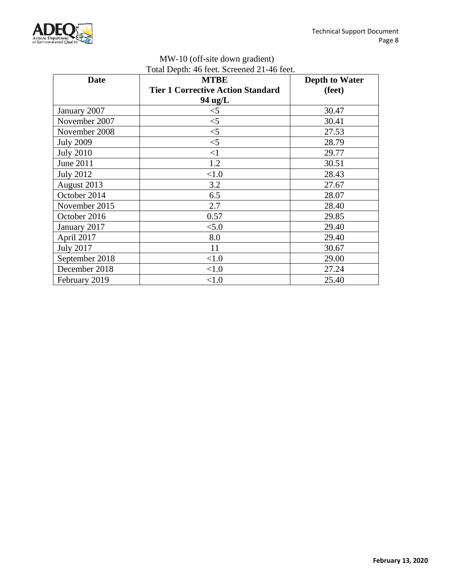

| MW-10 (off-site down gradient)             |
|--------------------------------------------|
| Total Depth: 46 feet. Screened 21-46 feet. |

| <b>Date</b>      | <b>MTBE</b>                              | <b>Depth to Water</b> |
|------------------|------------------------------------------|-----------------------|
|                  | <b>Tier 1 Corrective Action Standard</b> | (feet)                |
|                  | 94 ug/L                                  |                       |
| January 2007     | $<$ 5                                    | 30.47                 |
| November 2007    | $<$ 5                                    | 30.41                 |
| November 2008    | $<$ 5                                    | 27.53                 |
| <b>July 2009</b> | $<$ 5                                    | 28.79                 |
| <b>July 2010</b> | <1                                       | 29.77                 |
| June 2011        | 1.2                                      | 30.51                 |
| <b>July 2012</b> | < 1.0                                    | 28.43                 |
| August 2013      | 3.2                                      | 27.67                 |
| October 2014     | 6.5                                      | 28.07                 |
| November 2015    | 2.7                                      | 28.40                 |
| October 2016     | 0.57                                     | 29.85                 |
| January 2017     | < 5.0                                    | 29.40                 |
| April 2017       | 8.0                                      | 29.40                 |
| <b>July 2017</b> | 11                                       | 30.67                 |
| September 2018   | < 1.0                                    | 29.00                 |
| December 2018    | <1.0                                     | 27.24                 |
| February 2019    | < 1.0                                    | 25.40                 |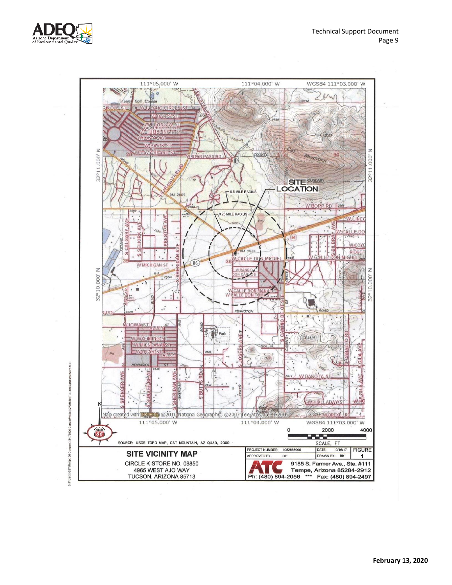

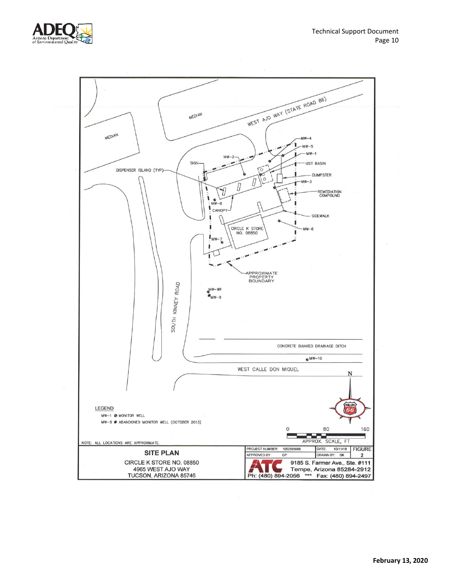



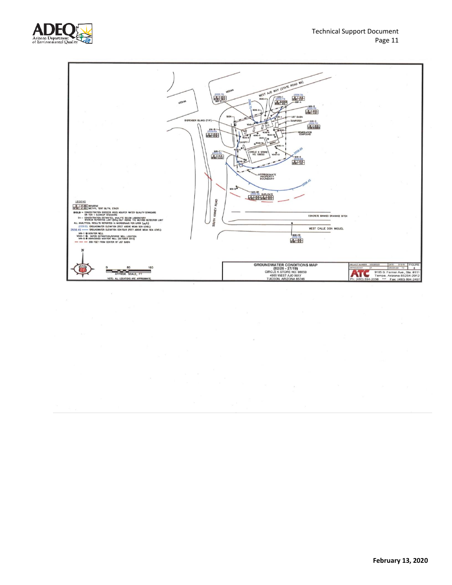

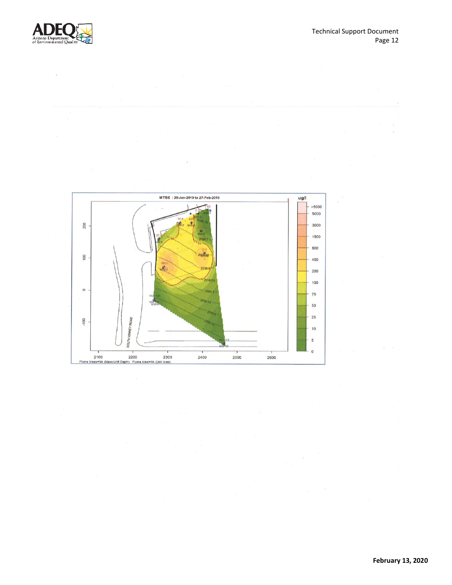